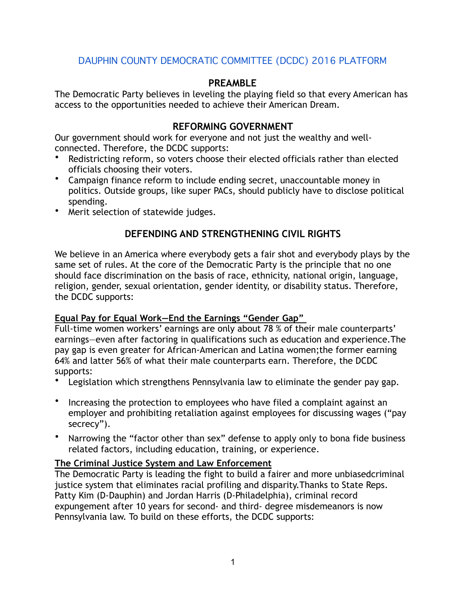# DAUPHIN COUNTY DEMOCRATIC COMMITTEE (DCDC) 2016 PLATFORM

## **PREAMBLE**

The Democratic Party believes in leveling the playing field so that every American has access to the opportunities needed to achieve their American Dream.

## **REFORMING GOVERNMENT**

Our government should work for everyone and not just the wealthy and wellconnected. Therefore, the DCDC supports:

- Redistricting reform, so voters choose their elected officials rather than elected officials choosing their voters.
- Campaign finance reform to include ending secret, unaccountable money in politics. Outside groups, like super PACs, should publicly have to disclose political spending.
- Merit selection of statewide judges.

# **DEFENDING AND STRENGTHENING CIVIL RIGHTS**

We believe in an America where everybody gets a fair shot and everybody plays by the same set of rules. At the core of the Democratic Party is the principle that no one should face discrimination on the basis of race, ethnicity, national origin, language, religion, gender, sexual orientation, gender identity, or disability status. Therefore, the DCDC supports:

## **Equal Pay for Equal Work—End the Earnings "Gender Gap"**

Full-time women workers' earnings are only about 78 % of their male counterparts' earnings—even after factoring in qualifications such as education and experience.The pay gap is even greater for African-American and Latina women;the former earning 64% and latter 56% of what their male counterparts earn. Therefore, the DCDC supports:

- Legislation which strengthens Pennsylvania law to eliminate the gender pay gap.
- Increasing the protection to employees who have filed a complaint against an employer and prohibiting retaliation against employees for discussing wages ("pay secrecy").
- Narrowing the "factor other than sex" defense to apply only to bona fide business related factors, including education, training, or experience.

### **The Criminal Justice System and Law Enforcement**

The Democratic Party is leading the fight to build a fairer and more unbiasedcriminal justice system that eliminates racial profiling and disparity.Thanks to State Reps. Patty Kim (D-Dauphin) and Jordan Harris (D-Philadelphia), criminal record expungement after 10 years for second- and third- degree misdemeanors is now Pennsylvania law. To build on these efforts, the DCDC supports: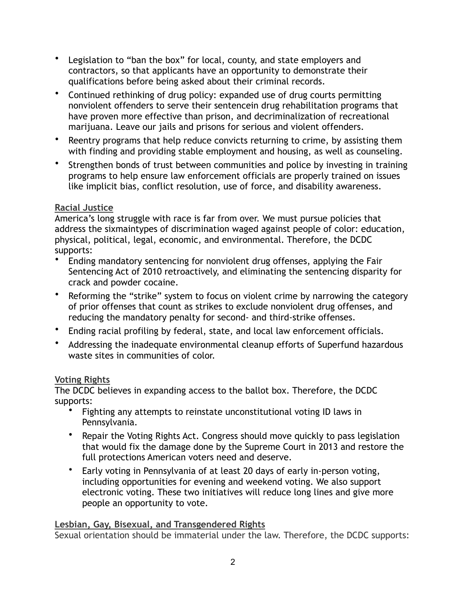- Legislation to "ban the box" for local, county, and state employers and contractors, so that applicants have an opportunity to demonstrate their qualifications before being asked about their criminal records.
- Continued rethinking of drug policy: expanded use of drug courts permitting nonviolent offenders to serve their sentencein drug rehabilitation programs that have proven more effective than prison, and decriminalization of recreational marijuana. Leave our jails and prisons for serious and violent offenders.
- Reentry programs that help reduce convicts returning to crime, by assisting them with finding and providing stable employment and housing, as well as counseling.
- Strengthen bonds of trust between communities and police by investing in training programs to help ensure law enforcement officials are properly trained on issues like implicit bias, conflict resolution, use of force, and disability awareness.

## **Racial Justice**

America's long struggle with race is far from over. We must pursue policies that address the sixmaintypes of discrimination waged against people of color: education, physical, political, legal, economic, and environmental. Therefore, the DCDC supports:

- Ending mandatory sentencing for nonviolent drug offenses, applying the Fair Sentencing Act of 2010 retroactively, and eliminating the sentencing disparity for crack and powder cocaine.
- Reforming the "strike" system to focus on violent crime by narrowing the category of prior offenses that count as strikes to exclude nonviolent drug offenses, and reducing the mandatory penalty for second- and third-strike offenses.
- Ending racial profiling by federal, state, and local law enforcement officials.
- Addressing the inadequate environmental cleanup efforts of Superfund hazardous waste sites in communities of color.

# **Voting Rights**

The DCDC believes in expanding access to the ballot box. Therefore, the DCDC supports:

- Fighting any attempts to reinstate unconstitutional voting ID laws in Pennsylvania.
- Repair the Voting Rights Act. Congress should move quickly to pass legislation that would fix the damage done by the Supreme Court in 2013 and restore the full protections American voters need and deserve.
- Early voting in Pennsylvania of at least 20 days of early in-person voting, including opportunities for evening and weekend voting. We also support electronic voting. These two initiatives will reduce long lines and give more people an opportunity to vote.

# **Lesbian, Gay, Bisexual, and Transgendered Rights**

Sexual orientation should be immaterial under the law. Therefore, the DCDC supports: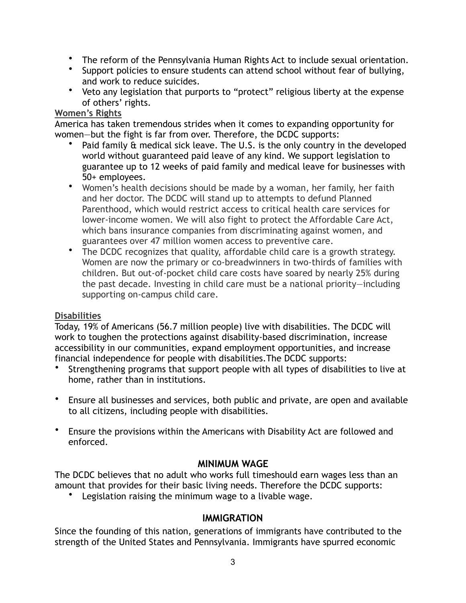- The reform of the Pennsylvania Human Rights Act to include sexual orientation.
- Support policies to ensure students can attend school without fear of bullying, and work to reduce suicides.
- Veto any legislation that purports to "protect" religious liberty at the expense of others' rights.

#### **Women's Rights**

America has taken tremendous strides when it comes to expanding opportunity for women—but the fight is far from over. Therefore, the DCDC supports:

- Paid family & medical sick leave. The U.S. is the only country in the developed world without guaranteed paid leave of any kind. We support legislation to guarantee up to 12 weeks of paid family and medical leave for businesses with 50+ employees.
- Women's health decisions should be made by a woman, her family, her faith and her doctor. The DCDC will stand up to attempts to defund Planned Parenthood, which would restrict access to critical health care services for lower-income women. We will also fight to protect the Affordable Care Act, which bans insurance companies from discriminating against women, and guarantees over 47 million women access to preventive care.
- The DCDC recognizes that quality, affordable child care is a growth strategy. Women are now the primary or co-breadwinners in two-thirds of families with children. But out-of-pocket child care costs have soared by nearly 25% during the past decade. Investing in child care must be a national priority—including supporting on-campus child care.

## **Disabilities**

Today, 19% of Americans (56.7 million people) live with disabilities. The DCDC will work to toughen the protections against disability-based discrimination, increase accessibility in our communities, expand employment opportunities, and increase financial independence for people with disabilities.The DCDC supports:

- Strengthening programs that support people with all types of disabilities to live at home, rather than in institutions.
- Ensure all businesses and services, both public and private, are open and available to all citizens, including people with disabilities.
- Ensure the provisions within the Americans with Disability Act are followed and enforced.

## **MINIMUM WAGE**

The DCDC believes that no adult who works full timeshould earn wages less than an amount that provides for their basic living needs. Therefore the DCDC supports:

• Legislation raising the minimum wage to a livable wage.

# **IMMIGRATION**

Since the founding of this nation, generations of immigrants have contributed to the strength of the United States and Pennsylvania. Immigrants have spurred economic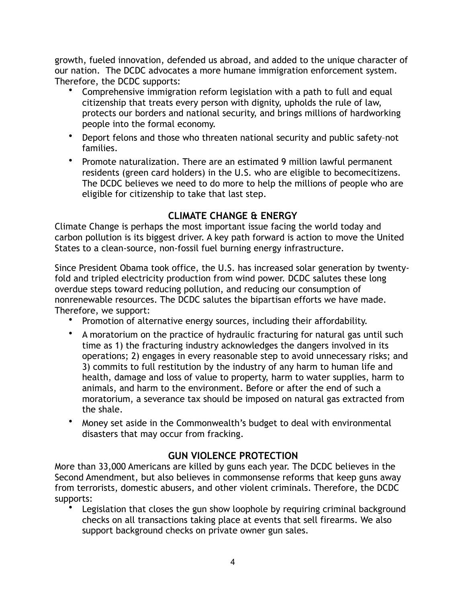growth, fueled innovation, defended us abroad, and added to the unique character of our nation. The DCDC advocates a more humane immigration enforcement system. Therefore, the DCDC supports:

- Comprehensive immigration reform legislation with a path to full and equal citizenship that treats every person with dignity, upholds the rule of law, protects our borders and national security, and brings millions of hardworking people into the formal economy.
- Deport felons and those who threaten national security and public safety–not families.
- Promote naturalization. There are an estimated 9 million lawful permanent residents (green card holders) in the U.S. who are eligible to becomecitizens. The DCDC believes we need to do more to help the millions of people who are eligible for citizenship to take that last step.

# **CLIMATE CHANGE & ENERGY**

Climate Change is perhaps the most important issue facing the world today and carbon pollution is its biggest driver. A key path forward is action to move the United States to a clean-source, non-fossil fuel burning energy infrastructure.

Since President Obama took office, the U.S. has increased solar generation by twentyfold and tripled electricity production from wind power. DCDC salutes these long overdue steps toward reducing pollution, and reducing our consumption of nonrenewable resources. The DCDC salutes the bipartisan efforts we have made. Therefore, we support:

- Promotion of alternative energy sources, including their affordability.
- A moratorium on the practice of hydraulic fracturing for natural gas until such time as 1) the fracturing industry acknowledges the dangers involved in its operations; 2) engages in every reasonable step to avoid unnecessary risks; and 3) commits to full restitution by the industry of any harm to human life and health, damage and loss of value to property, harm to water supplies, harm to animals, and harm to the environment. Before or after the end of such a moratorium, a severance tax should be imposed on natural gas extracted from the shale.
- Money set aside in the Commonwealth's budget to deal with environmental disasters that may occur from fracking.

# **GUN VIOLENCE PROTECTION**

More than 33,000 Americans are killed by guns each year. The DCDC believes in the Second Amendment, but also believes in commonsense reforms that keep guns away from terrorists, domestic abusers, and other violent criminals. Therefore, the DCDC supports:

Legislation that closes the gun show loophole by requiring criminal background checks on all transactions taking place at events that sell firearms. We also support background checks on private owner gun sales.